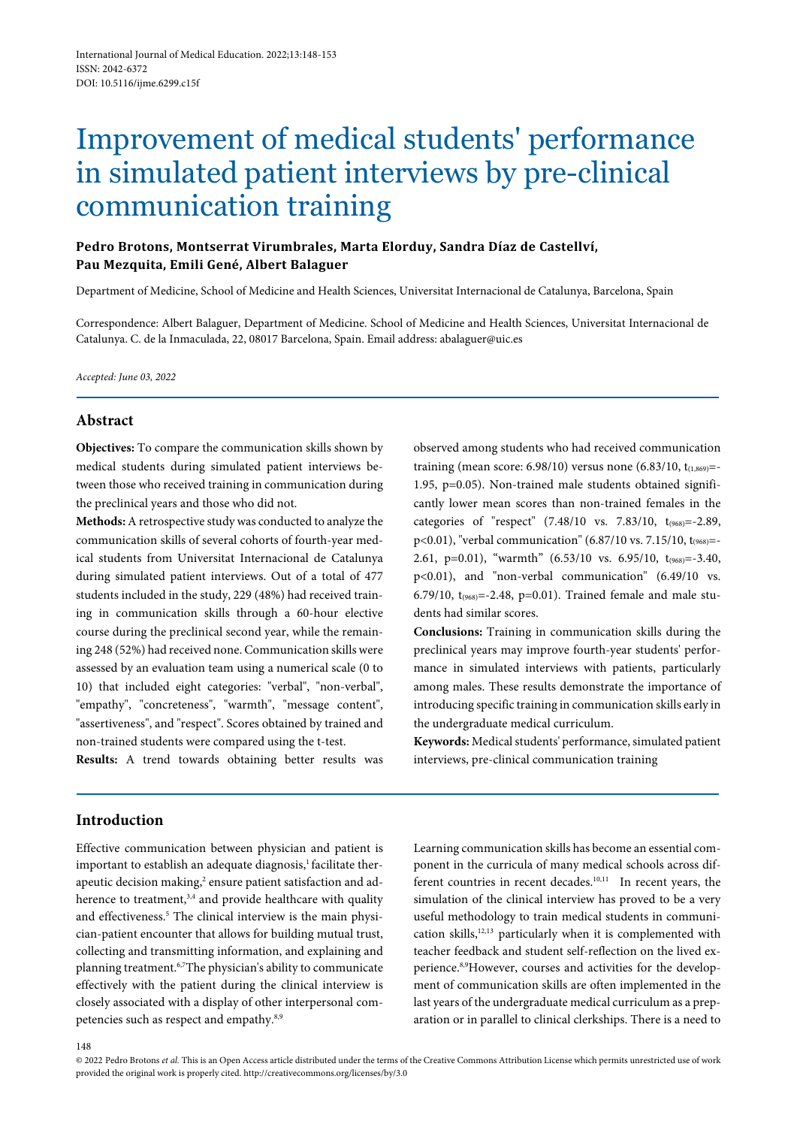# Improvement of medical students' performance in simulated patient interviews by pre-clinical communication training

## **Pedro Brotons, Montserrat Virumbrales, Marta Elorduy, Sandra Díaz de Castellví, Pau Mezquita, Emili Gené, Albert Balaguer**

Department of Medicine, School of Medicine and Health Sciences, Universitat Internacional de Catalunya, Barcelona, Spain

Correspondence: Albert Balaguer, Department of Medicine. School of Medicine and Health Sciences, Universitat Internacional de Catalunya. C. de la Inmaculada, 22, 08017 Barcelona, Spain. Email address: abalaguer@uic.es

*Accepted: June 03, 2022*

#### **Abstract**

**Objectives:** To compare the communication skills shown by medical students during simulated patient interviews between those who received training in communication during the preclinical years and those who did not.

**Methods:** A retrospective study was conducted to analyze the communication skills of several cohorts of fourth-year medical students from Universitat Internacional de Catalunya during simulated patient interviews. Out of a total of 477 students included in the study, 229 (48%) had received training in communication skills through a 60-hour elective course during the preclinical second year, while the remaining 248 (52%) had received none. Communication skills were assessed by an evaluation team using a numerical scale (0 to 10) that included eight categories: "verbal", "non-verbal", "empathy", "concreteness", "warmth", "message content", "assertiveness", and "respect". Scores obtained by trained and non-trained students were compared using the t-test.

**Results:** A trend towards obtaining better results was

observed among students who had received communication training (mean score: 6.98/10) versus none  $(6.83/10, t_{(1,869)}$ =-1.95, p=0.05). Non-trained male students obtained significantly lower mean scores than non-trained females in the categories of "respect"  $(7.48/10 \text{ vs. } 7.83/10, t_{(968)} = -2.89,$ p<0.01), "verbal communication" (6.87/10 vs. 7.15/10, t<sub>(968)</sub>=-2.61, p=0.01), "warmth"  $(6.53/10 \text{ vs. } 6.95/10, t_{(968)}=-3.40,$ p<0.01), and "non-verbal communication" (6.49/10 vs. 6.79/10,  $t_{(968)} = -2.48$ , p=0.01). Trained female and male students had similar scores.

**Conclusions:** Training in communication skills during the preclinical years may improve fourth-year students' performance in simulated interviews with patients, particularly among males. These results demonstrate the importance of introducing specific training in communication skills early in the undergraduate medical curriculum.

Keywords: Medical students' performance, simulated patient interviews, pre-clinical communication training

## **Introduction**

Effective communication between physician and patient is important to establish an adequate diagnosis,<sup>1</sup> facilitate therapeutic decision making,<sup>2</sup> ensure patient satisfaction and adherence to treatment,<sup>3,4</sup> and provide healthcare with quality and effectiveness.<sup>5</sup> The clinical interview is the main physician-patient encounter that allows for building mutual trust, collecting and transmitting information, and explaining and planning treatment.6,7The physician's ability to communicate effectively with the patient during the clinical interview is closely associated with a display of other interpersonal competencies such as respect and empathy.<sup>8,9</sup>

Learning communication skills has become an essential component in the curricula of many medical schools across different countries in recent decades.<sup>10,11</sup> In recent years, the simulation of the clinical interview has proved to be a very useful methodology to train medical students in communication skills,<sup>12,13</sup> particularly when it is complemented with teacher feedback and student self-reflection on the lived experience.8,9However, courses and activities for the development of communication skills are often implemented in the last years of the undergraduate medical curriculum as a preparation or in parallel to clinical clerkships. There is a need to

<sup>© 2022</sup> Pedro Brotons *et al.* This is an Open Access article distributed under the terms of the Creative Commons Attribution License which permits unrestricted use of work provided the original work is properly cited. http://creativecommons.org/licenses/by/3.0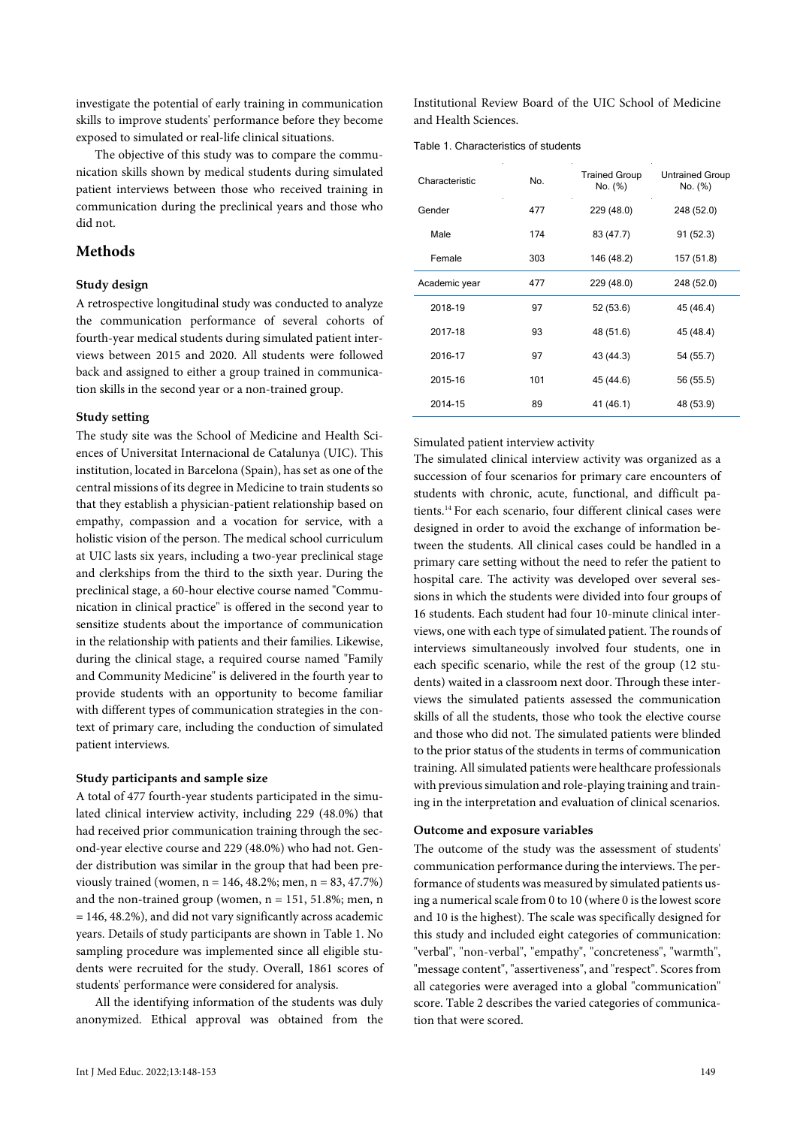investigate the potential of early training in communication skills to improve students' performance before they become exposed to simulated or real-life clinical situations.

The objective of this study was to compare the communication skills shown by medical students during simulated patient interviews between those who received training in communication during the preclinical years and those who did not.

## **Methods**

#### **Study design**

A retrospective longitudinal study was conducted to analyze the communication performance of several cohorts of fourth-year medical students during simulated patient interviews between 2015 and 2020. All students were followed back and assigned to either a group trained in communication skills in the second year or a non-trained group.

#### **Study setting**

The study site was the School of Medicine and Health Sciences of Universitat Internacional de Catalunya (UIC). This institution, located in Barcelona (Spain), has set as one of the central missions of its degree in Medicine to train students so that they establish a physician-patient relationship based on empathy, compassion and a vocation for service, with a holistic vision of the person. The medical school curriculum at UIC lasts six years, including a two-year preclinical stage and clerkships from the third to the sixth year. During the preclinical stage, a 60-hour elective course named "Communication in clinical practice" is offered in the second year to sensitize students about the importance of communication in the relationship with patients and their families. Likewise, during the clinical stage, a required course named "Family and Community Medicine" is delivered in the fourth year to provide students with an opportunity to become familiar with different types of communication strategies in the context of primary care, including the conduction of simulated patient interviews.

#### **Study participants and sample size**

A total of 477 fourth-year students participated in the simulated clinical interview activity, including 229 (48.0%) that had received prior communication training through the second-year elective course and 229 (48.0%) who had not. Gender distribution was similar in the group that had been previously trained (women,  $n = 146, 48.2\%$ ; men,  $n = 83, 47.7\%$ ) and the non-trained group (women,  $n = 151, 51.8\%$ ; men, n = 146, 48.2%), and did not vary significantly across academic years. Details of study participants are shown in Table 1. No sampling procedure was implemented since all eligible students were recruited for the study. Overall, 1861 scores of students' performance were considered for analysis.

All the identifying information of the students was duly anonymized. Ethical approval was obtained from the Institutional Review Board of the UIC School of Medicine and Health Sciences.

Table 1. Characteristics of students

| Characteristic<br>No. |     | <b>Trained Group</b><br>No. (%) | <b>Untrained Group</b><br>No. (%) |  |  |
|-----------------------|-----|---------------------------------|-----------------------------------|--|--|
| Gender                | 477 | 229 (48.0)                      | 248 (52.0)                        |  |  |
| Male                  | 174 | 83 (47.7)                       | 91 (52.3)                         |  |  |
| Female                | 303 | 146 (48.2)                      | 157 (51.8)                        |  |  |
| Academic year         | 477 | 229 (48.0)                      | 248 (52.0)                        |  |  |
| 2018-19               | 97  | 52 (53.6)                       | 45 (46.4)                         |  |  |
| 2017-18               | 93  | 48 (51.6)                       | 45 (48.4)                         |  |  |
| 2016-17               | 97  | 43 (44.3)                       | 54 (55.7)                         |  |  |
| 2015-16               | 101 | 45 (44.6)                       | 56 (55.5)                         |  |  |
| 2014-15               | 89  | 41 (46.1)                       | 48 (53.9)                         |  |  |

#### Simulated patient interview activity

The simulated clinical interview activity was organized as a succession of four scenarios for primary care encounters of students with chronic, acute, functional, and difficult patients.14 For each scenario, four different clinical cases were designed in order to avoid the exchange of information between the students. All clinical cases could be handled in a primary care setting without the need to refer the patient to hospital care. The activity was developed over several sessions in which the students were divided into four groups of 16 students. Each student had four 10-minute clinical interviews, one with each type of simulated patient. The rounds of interviews simultaneously involved four students, one in each specific scenario, while the rest of the group (12 students) waited in a classroom next door. Through these interviews the simulated patients assessed the communication skills of all the students, those who took the elective course and those who did not. The simulated patients were blinded to the prior status of the students in terms of communication training. All simulated patients were healthcare professionals with previous simulation and role-playing training and training in the interpretation and evaluation of clinical scenarios.

#### **Outcome and exposure variables**

The outcome of the study was the assessment of students' communication performance during the interviews. The performance of students was measured by simulated patients using a numerical scale from 0 to 10 (where 0 is the lowest score and 10 is the highest). The scale was specifically designed for this study and included eight categories of communication: "verbal", "non-verbal", "empathy", "concreteness", "warmth", "message content", "assertiveness", and "respect". Scores from all categories were averaged into a global "communication" score. Table 2 describes the varied categories of communication that were scored.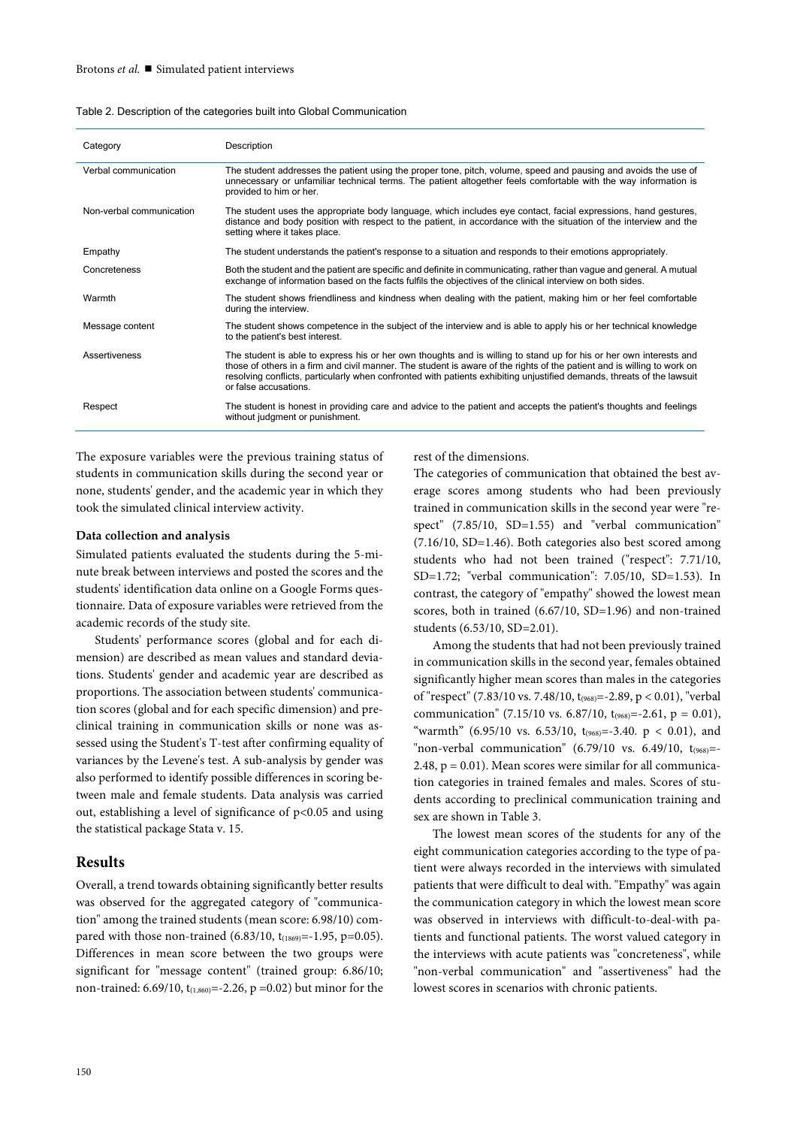| Category                 | Description                                                                                                                                                                                                                                                                                                                                                                                      |
|--------------------------|--------------------------------------------------------------------------------------------------------------------------------------------------------------------------------------------------------------------------------------------------------------------------------------------------------------------------------------------------------------------------------------------------|
| Verbal communication     | The student addresses the patient using the proper tone, pitch, volume, speed and pausing and avoids the use of<br>unnecessary or unfamiliar technical terms. The patient altogether feels comfortable with the way information is<br>provided to him or her.                                                                                                                                    |
| Non-verbal communication | The student uses the appropriate body language, which includes eye contact, facial expressions, hand gestures,<br>distance and body position with respect to the patient, in accordance with the situation of the interview and the<br>setting where it takes place.                                                                                                                             |
| Empathy                  | The student understands the patient's response to a situation and responds to their emotions appropriately.                                                                                                                                                                                                                                                                                      |
| Concreteness             | Both the student and the patient are specific and definite in communicating, rather than vague and general. A mutual<br>exchange of information based on the facts fulfils the objectives of the clinical interview on both sides.                                                                                                                                                               |
| Warmth                   | The student shows friendliness and kindness when dealing with the patient, making him or her feel comfortable<br>during the interview.                                                                                                                                                                                                                                                           |
| Message content          | The student shows competence in the subject of the interview and is able to apply his or her technical knowledge<br>to the patient's best interest.                                                                                                                                                                                                                                              |
| Assertiveness            | The student is able to express his or her own thoughts and is willing to stand up for his or her own interests and<br>those of others in a firm and civil manner. The student is aware of the rights of the patient and is willing to work on<br>resolving conflicts, particularly when confronted with patients exhibiting unjustified demands, threats of the lawsuit<br>or false accusations. |
| Respect                  | The student is honest in providing care and advice to the patient and accepts the patient's thoughts and feelings<br>without judgment or punishment.                                                                                                                                                                                                                                             |

The exposure variables were the previous training status of students in communication skills during the second year or none, students' gender, and the academic year in which they took the simulated clinical interview activity.

#### **Data collection and analysis**

Simulated patients evaluated the students during the 5-minute break between interviews and posted the scores and the students' identification data online on a Google Forms questionnaire. Data of exposure variables were retrieved from the academic records of the study site.

Students' performance scores (global and for each dimension) are described as mean values and standard deviations. Students' gender and academic year are described as proportions. The association between students' communication scores (global and for each specific dimension) and preclinical training in communication skills or none was assessed using the Student's T-test after confirming equality of variances by the Levene's test. A sub-analysis by gender was also performed to identify possible differences in scoring between male and female students. Data analysis was carried out, establishing a level of significance of p<0.05 and using the statistical package Stata v. 15.

#### **Results**

Overall, a trend towards obtaining significantly better results was observed for the aggregated category of "communication" among the trained students (mean score: 6.98/10) compared with those non-trained  $(6.83/10, t_{(1869)} = -1.95, p=0.05)$ . Differences in mean score between the two groups were significant for "message content" (trained group: 6.86/10; non-trained: 6.69/10,  $t_{(1,860)} = -2.26$ , p =0.02) but minor for the rest of the dimensions.

The categories of communication that obtained the best average scores among students who had been previously trained in communication skills in the second year were "respect" (7.85/10, SD=1.55) and "verbal communication" (7.16/10, SD=1.46). Both categories also best scored among students who had not been trained ("respect": 7.71/10, SD=1.72; "verbal communication": 7.05/10, SD=1.53). In contrast, the category of "empathy" showed the lowest mean scores, both in trained (6.67/10, SD=1.96) and non-trained students (6.53/10, SD=2.01).

Among the students that had not been previously trained in communication skills in the second year, females obtained significantly higher mean scores than males in the categories of "respect" (7.83/10 vs. 7.48/10, t(968)=-2.89, p < 0.01), "verbal communication" (7.15/10 vs. 6.87/10,  $t_{.968} = -2.61$ , p = 0.01), "warmth" (6.95/10 vs. 6.53/10,  $t_{(968)} = -3.40$ . p < 0.01), and "non-verbal communication"  $(6.79/10$  vs.  $6.49/10$ ,  $t_{(968)}$ =-2.48,  $p = 0.01$ ). Mean scores were similar for all communication categories in trained females and males. Scores of students according to preclinical communication training and sex are shown in Table 3.

The lowest mean scores of the students for any of the eight communication categories according to the type of patient were always recorded in the interviews with simulated patients that were difficult to deal with. "Empathy" was again the communication category in which the lowest mean score was observed in interviews with difficult-to-deal-with patients and functional patients. The worst valued category in the interviews with acute patients was "concreteness", while "non-verbal communication" and "assertiveness" had the lowest scores in scenarios with chronic patients.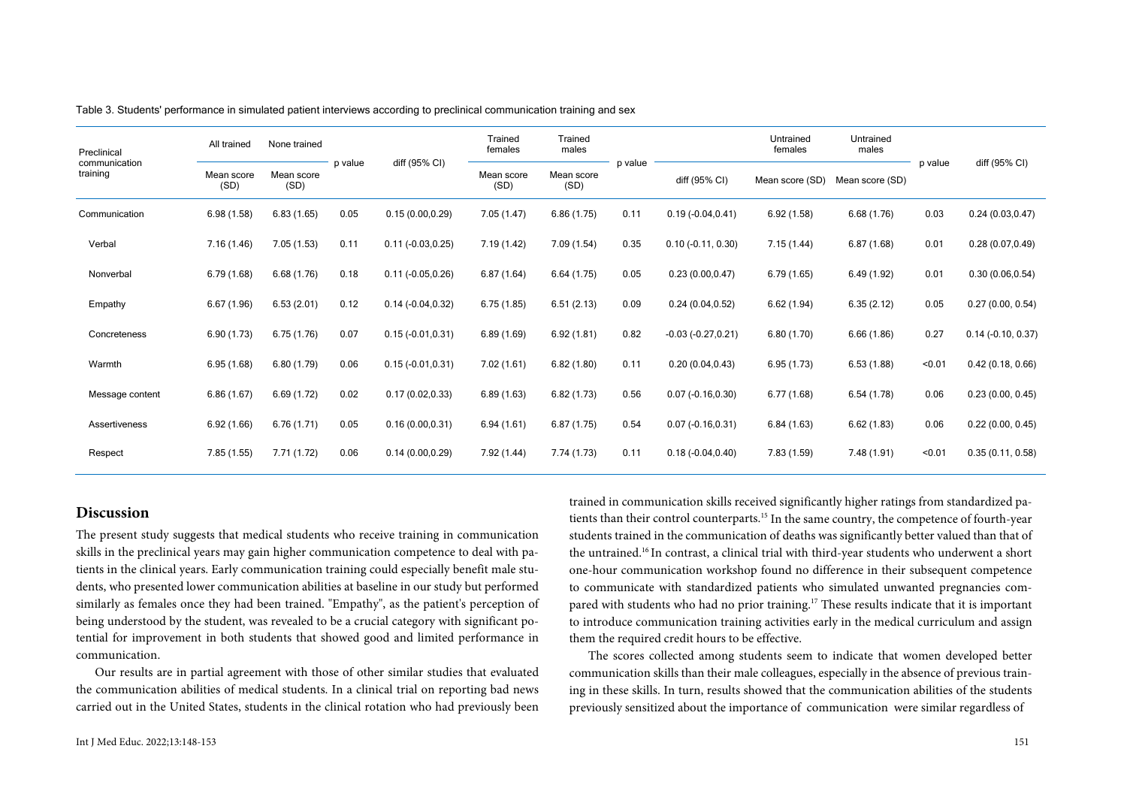| Preclinical<br>communication<br>training | All trained        | None trained       | p value | diff (95% CI)        | Trained<br>females | Trained<br>males   | p value |                      | Untrained<br>females | Untrained<br>males | p value | diff (95% CI)        |
|------------------------------------------|--------------------|--------------------|---------|----------------------|--------------------|--------------------|---------|----------------------|----------------------|--------------------|---------|----------------------|
|                                          | Mean score<br>(SD) | Mean score<br>(SD) |         |                      | Mean score<br>(SD) | Mean score<br>(SD) |         | diff (95% CI)        | Mean score (SD)      | Mean score (SD)    |         |                      |
| Communication                            | 6.98(1.58)         | 6.83(1.65)         | 0.05    | 0.15(0.00, 0.29)     | 7.05(1.47)         | 6.86(1.75)         | 0.11    | $0.19(-0.04, 0.41)$  | 6.92(1.58)           | 6.68(1.76)         | 0.03    | 0.24(0.03, 0.47)     |
| Verbal                                   | 7.16(1.46)         | 7.05(1.53)         | 0.11    | $0.11 (-0.03, 0.25)$ | 7.19(1.42)         | 7.09(1.54)         | 0.35    | $0.10 (-0.11, 0.30)$ | 7.15(1.44)           | 6.87(1.68)         | 0.01    | 0.28(0.07, 0.49)     |
| Nonverbal                                | 6.79(1.68)         | 6.68(1.76)         | 0.18    | $0.11 (-0.05, 0.26)$ | 6.87(1.64)         | 6.64(1.75)         | 0.05    | 0.23(0.00, 0.47)     | 6.79(1.65)           | 6.49(1.92)         | 0.01    | 0.30(0.06, 0.54)     |
| Empathy                                  | 6.67(1.96)         | 6.53(2.01)         | 0.12    | $0.14(-0.04, 0.32)$  | 6.75(1.85)         | 6.51(2.13)         | 0.09    | 0.24(0.04, 0.52)     | 6.62(1.94)           | 6.35(2.12)         | 0.05    | 0.27(0.00, 0.54)     |
| Concreteness                             | 6.90 (1.73)        | 6.75(1.76)         | 0.07    | $0.15(-0.01, 0.31)$  | 6.89(1.69)         | 6.92(1.81)         | 0.82    | $-0.03(-0.27, 0.21)$ | 6.80(1.70)           | 6.66(1.86)         | 0.27    | $0.14$ (-0.10, 0.37) |
| Warmth                                   | 6.95(1.68)         | 6.80(1.79)         | 0.06    | $0.15(-0.01, 0.31)$  | 7.02(1.61)         | 6.82(1.80)         | 0.11    | 0.20(0.04, 0.43)     | 6.95(1.73)           | 6.53(1.88)         | < 0.01  | 0.42(0.18, 0.66)     |
| Message content                          | 6.86(1.67)         | 6.69(1.72)         | 0.02    | 0.17(0.02,0.33)      | 6.89(1.63)         | 6.82(1.73)         | 0.56    | $0.07(-0.16, 0.30)$  | 6.77(1.68)           | 6.54(1.78)         | 0.06    | 0.23(0.00, 0.45)     |
| Assertiveness                            | 6.92(1.66)         | 6.76(1.71)         | 0.05    | 0.16(0.00, 0.31)     | 6.94(1.61)         | 6.87(1.75)         | 0.54    | $0.07(-0.16, 0.31)$  | 6.84(1.63)           | 6.62(1.83)         | 0.06    | 0.22(0.00, 0.45)     |
| Respect                                  | 7.85(1.55)         | 7.71(1.72)         | 0.06    | 0.14(0.00, 0.29)     | 7.92(1.44)         | 7.74 (1.73)        | 0.11    | $0.18(-0.04, 0.40)$  | 7.83 (1.59)          | 7.48 (1.91)        | < 0.01  | 0.35(0.11, 0.58)     |

Table 3. Students' performance in simulated patient interviews according to preclinical communication training and sex

## **Discussion**

The present study suggests that medical students who receive training in communication skills in the preclinical years may gain higher communication competence to deal with patients in the clinical years. Early communication training could especially benefit male students, who presented lower communication abilities at baseline in our study but performed similarly as females once they had been trained. "Empathy", as the patient's perception of being understood by the student, was revealed to be a crucial category with significant potential for improvement in both students that showed good and limited performance in communication.

Our results are in partial agreement with those of other similar studies that evaluated the communication abilities of medical students. In a clinical trial on reporting bad news carried out in the United States, students in the clinical rotation who had previously been trained in communication skills received significantly higher ratings from standardized patients than their control counterparts.15 In the same country, the competence of fourth-year students trained in the communication of deaths was significantly better valued than that of the untrained.16 In contrast, a clinical trial with third-year students who underwent a short one-hour communication workshop found no difference in their subsequent competence to communicate with standardized patients who simulated unwanted pregnancies compared with students who had no prior training.17 These results indicate that it is important to introduce communication training activities early in the medical curriculum and assign them the required credit hours to be effective.

The scores collected among students seem to indicate that women developed better communication skills than their male colleagues, especially in the absence of previous training in these skills. In turn, results showed that the communication abilities of the students previously sensitized about the importance of communication were similar regardless of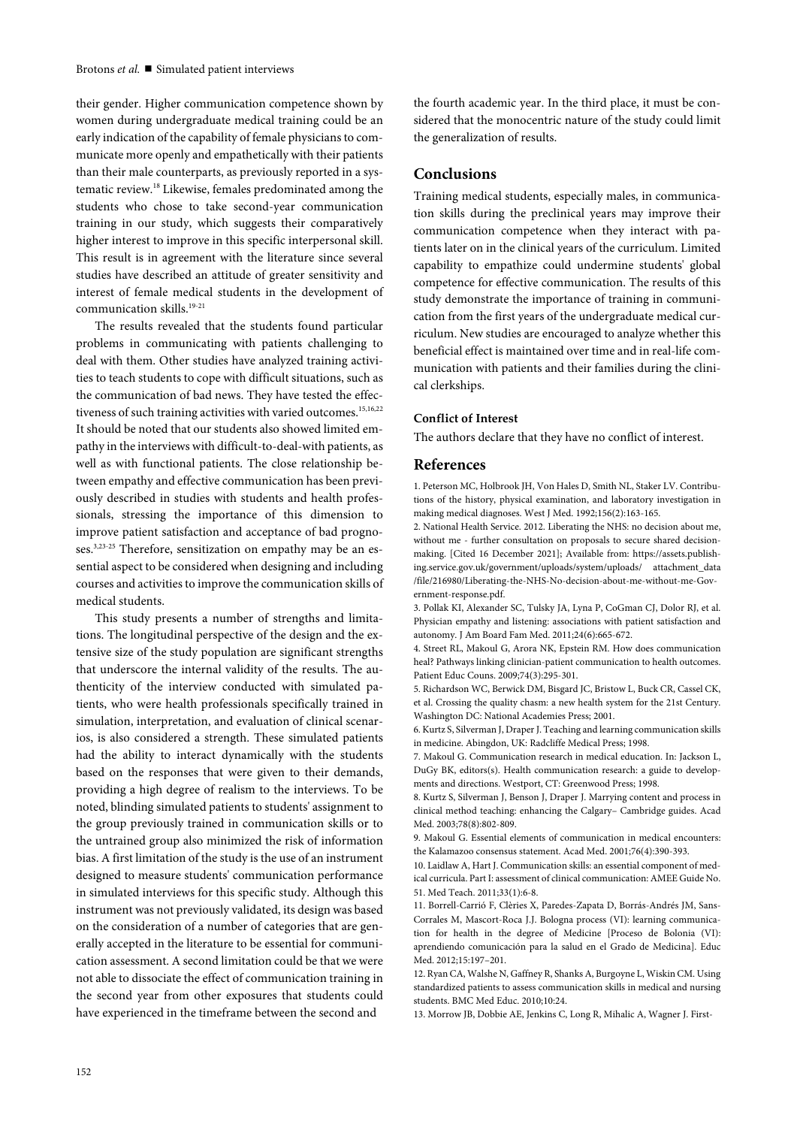their gender. Higher communication competence shown by women during undergraduate medical training could be an early indication of the capability of female physicians to communicate more openly and empathetically with their patients than their male counterparts, as previously reported in a systematic review.18 Likewise, females predominated among the students who chose to take second-year communication training in our study, which suggests their comparatively higher interest to improve in this specific interpersonal skill. This result is in agreement with the literature since several studies have described an attitude of greater sensitivity and interest of female medical students in the development of communication skills.19-21

The results revealed that the students found particular problems in communicating with patients challenging to deal with them. Other studies have analyzed training activities to teach students to cope with difficult situations, such as the communication of bad news. They have tested the effectiveness of such training activities with varied outcomes.<sup>15,16,22</sup> It should be noted that our students also showed limited empathy in the interviews with difficult-to-deal-with patients, as well as with functional patients. The close relationship between empathy and effective communication has been previously described in studies with students and health professionals, stressing the importance of this dimension to improve patient satisfaction and acceptance of bad prognoses.<sup>3,23-25</sup> Therefore, sensitization on empathy may be an essential aspect to be considered when designing and including courses and activities to improve the communication skills of medical students.

This study presents a number of strengths and limitations. The longitudinal perspective of the design and the extensive size of the study population are significant strengths that underscore the internal validity of the results. The authenticity of the interview conducted with simulated patients, who were health professionals specifically trained in simulation, interpretation, and evaluation of clinical scenarios, is also considered a strength. These simulated patients had the ability to interact dynamically with the students based on the responses that were given to their demands, providing a high degree of realism to the interviews. To be noted, blinding simulated patients to students' assignment to the group previously trained in communication skills or to the untrained group also minimized the risk of information bias. A first limitation of the study is the use of an instrument designed to measure students' communication performance in simulated interviews for this specific study. Although this instrument was not previously validated, its design was based on the consideration of a number of categories that are generally accepted in the literature to be essential for communication assessment. A second limitation could be that we were not able to dissociate the effect of communication training in the second year from other exposures that students could have experienced in the timeframe between the second and

the fourth academic year. In the third place, it must be considered that the monocentric nature of the study could limit the generalization of results.

## **Conclusions**

Training medical students, especially males, in communication skills during the preclinical years may improve their communication competence when they interact with patients later on in the clinical years of the curriculum. Limited capability to empathize could undermine students' global competence for effective communication. The results of this study demonstrate the importance of training in communication from the first years of the undergraduate medical curriculum. New studies are encouraged to analyze whether this beneficial effect is maintained over time and in real-life communication with patients and their families during the clinical clerkships.

#### **Conflict of Interest**

The authors declare that they have no conflict of interest.

### **References**

1. Peterson MC, Holbrook JH, Von Hales D, Smith NL, Staker LV. Contributions of the history, physical examination, and laboratory investigation in making medical diagnoses. West J Med. 1992;156(2):163-165.

2. National Health Service. 2012. Liberating the NHS: no decision about me, without me - further consultation on proposals to secure shared decisionmaking. [Cited 16 December 2021]; Available from: https://assets.publishing.service.gov.uk/government/uploads/system/uploads/ attachment\_data /file/216980/Liberating-the-NHS-No-decision-about-me-without-me-Government-response.pdf.

3. Pollak KI, Alexander SC, Tulsky JA, Lyna P, CoGman CJ, Dolor RJ, et al. Physician empathy and listening: associations with patient satisfaction and autonomy. J Am Board Fam Med. 2011;24(6):665-672.

4. Street RL, Makoul G, Arora NK, Epstein RM. How does communication heal? Pathways linking clinician-patient communication to health outcomes. Patient Educ Couns. 2009;74(3):295-301.

5. Richardson WC, Berwick DM, Bisgard JC, Bristow L, Buck CR, Cassel CK, et al. Crossing the quality chasm: a new health system for the 21st Century. Washington DC: National Academies Press; 2001.

6. Kurtz S, Silverman J, Draper J. Teaching and learning communication skills in medicine. Abingdon, UK: Radcliffe Medical Press; 1998.

7. Makoul G. Communication research in medical education. In: Jackson L, DuGy BK, editors(s). Health communication research: a guide to developments and directions. Westport, CT: Greenwood Press; 1998.

8. Kurtz S, Silverman J, Benson J, Draper J. Marrying content and process in clinical method teaching: enhancing the Calgary– Cambridge guides. Acad Med. 2003;78(8):802-809.

9. Makoul G. Essential elements of communication in medical encounters: the Kalamazoo consensus statement. Acad Med. 2001;76(4):390-393.

10. Laidlaw A, Hart J. Communication skills: an essential component of medical curricula. Part I: assessment of clinical communication: AMEE Guide No. 51. Med Teach. 2011;33(1):6-8.

11. Borrell-Carrió F, Clèries X, Paredes-Zapata D, Borrás-Andrés JM, Sans-Corrales M, Mascort-Roca J.J. Bologna process (VI): learning communication for health in the degree of Medicine [Proceso de Bolonia (VI): aprendiendo comunicación para la salud en el Grado de Medicina]. Educ Med. 2012;15:197–201.

12. Ryan CA, Walshe N, Gaffney R, Shanks A, Burgoyne L, Wiskin CM. Using standardized patients to assess communication skills in medical and nursing students. BMC Med Educ. 2010;10:24.

13. Morrow JB, Dobbie AE, Jenkins C, Long R, Mihalic A, Wagner J. First-